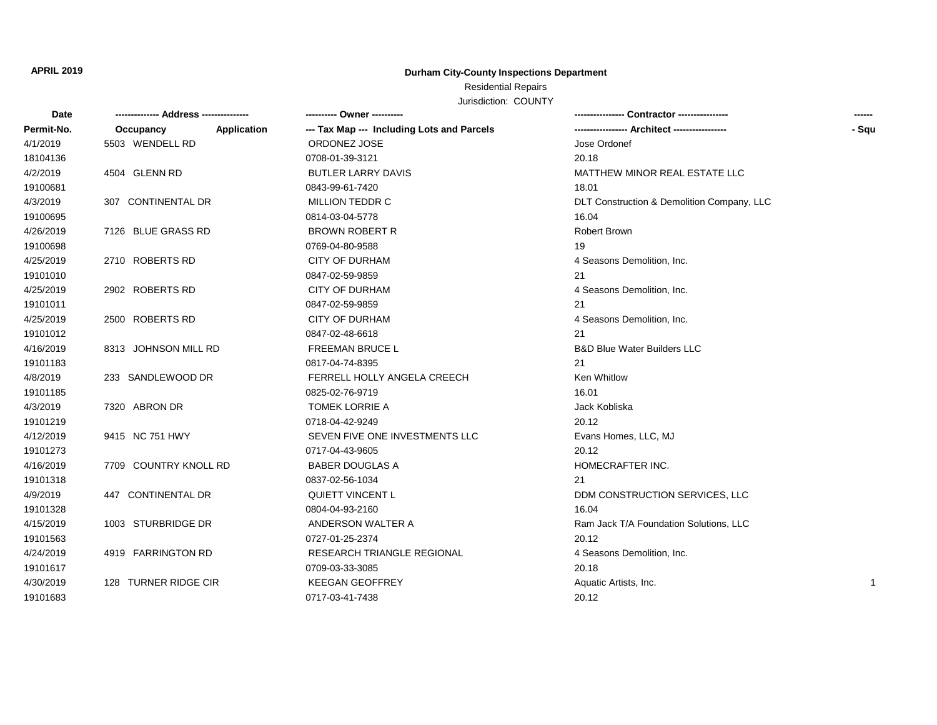## **APRIL 2019 Durham City-County Inspections Department**

Residential Repairs

Jurisdiction: COUNTY

| Date       |                          |                                            | <b>Contractor</b> ----------------         |       |
|------------|--------------------------|--------------------------------------------|--------------------------------------------|-------|
| Permit-No. | Application<br>Occupancy | --- Tax Map --- Including Lots and Parcels |                                            | - Squ |
| 4/1/2019   | 5503 WENDELL RD          | ORDONEZ JOSE                               | Jose Ordonef                               |       |
| 18104136   |                          | 0708-01-39-3121                            | 20.18                                      |       |
| 4/2/2019   | 4504 GLENN RD            | <b>BUTLER LARRY DAVIS</b>                  | MATTHEW MINOR REAL ESTATE LLC              |       |
| 19100681   |                          | 0843-99-61-7420                            | 18.01                                      |       |
| 4/3/2019   | 307 CONTINENTAL DR       | MILLION TEDDR C                            | DLT Construction & Demolition Company, LLC |       |
| 19100695   |                          | 0814-03-04-5778                            | 16.04                                      |       |
| 4/26/2019  | 7126 BLUE GRASS RD       | <b>BROWN ROBERT R</b>                      | <b>Robert Brown</b>                        |       |
| 19100698   |                          | 0769-04-80-9588                            | 19                                         |       |
| 4/25/2019  | 2710 ROBERTS RD          | <b>CITY OF DURHAM</b>                      | 4 Seasons Demolition, Inc.                 |       |
| 19101010   |                          | 0847-02-59-9859                            | 21                                         |       |
| 4/25/2019  | 2902 ROBERTS RD          | <b>CITY OF DURHAM</b>                      | 4 Seasons Demolition, Inc.                 |       |
| 19101011   |                          | 0847-02-59-9859                            | 21                                         |       |
| 4/25/2019  | 2500 ROBERTS RD          | <b>CITY OF DURHAM</b>                      | 4 Seasons Demolition, Inc.                 |       |
| 19101012   |                          | 0847-02-48-6618                            | 21                                         |       |
| 4/16/2019  | 8313 JOHNSON MILL RD     | FREEMAN BRUCE L                            | <b>B&amp;D Blue Water Builders LLC</b>     |       |
| 19101183   |                          | 0817-04-74-8395                            | 21                                         |       |
| 4/8/2019   | 233 SANDLEWOOD DR        | FERRELL HOLLY ANGELA CREECH                | <b>Ken Whitlow</b>                         |       |
| 19101185   |                          | 0825-02-76-9719                            | 16.01                                      |       |
| 4/3/2019   | 7320 ABRON DR            | <b>TOMEK LORRIE A</b>                      | Jack Kobliska                              |       |
| 19101219   |                          | 0718-04-42-9249                            | 20.12                                      |       |
| 4/12/2019  | 9415 NC 751 HWY          | SEVEN FIVE ONE INVESTMENTS LLC             | Evans Homes, LLC, MJ                       |       |
| 19101273   |                          | 0717-04-43-9605                            | 20.12                                      |       |
| 4/16/2019  | 7709 COUNTRY KNOLL RD    | <b>BABER DOUGLAS A</b>                     | HOMECRAFTER INC.                           |       |
| 19101318   |                          | 0837-02-56-1034                            | 21                                         |       |
| 4/9/2019   | 447 CONTINENTAL DR       | <b>QUIETT VINCENT L</b>                    | DDM CONSTRUCTION SERVICES, LLC             |       |
| 19101328   |                          | 0804-04-93-2160                            | 16.04                                      |       |
| 4/15/2019  | 1003 STURBRIDGE DR       | ANDERSON WALTER A                          | Ram Jack T/A Foundation Solutions, LLC     |       |
| 19101563   |                          | 0727-01-25-2374                            | 20.12                                      |       |
| 4/24/2019  | 4919 FARRINGTON RD       | <b>RESEARCH TRIANGLE REGIONAL</b>          | 4 Seasons Demolition, Inc.                 |       |
| 19101617   |                          | 0709-03-33-3085                            | 20.18                                      |       |
| 4/30/2019  | 128 TURNER RIDGE CIR     | <b>KEEGAN GEOFFREY</b>                     | Aquatic Artists, Inc.                      | 1     |
| 19101683   |                          | 0717-03-41-7438                            | 20.12                                      |       |